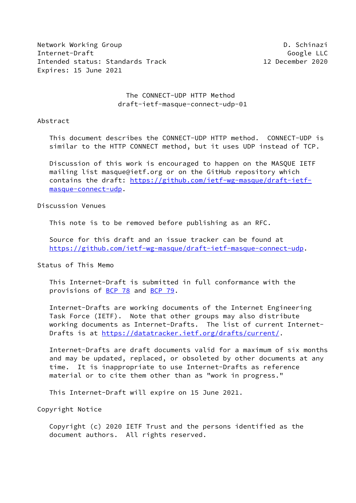Network Working Group D. Schinazi Internet-Draft Google LLC Intended status: Standards Track 12 December 2020 Expires: 15 June 2021

## The CONNECT-UDP HTTP Method draft-ietf-masque-connect-udp-01

#### Abstract

 This document describes the CONNECT-UDP HTTP method. CONNECT-UDP is similar to the HTTP CONNECT method, but it uses UDP instead of TCP.

 Discussion of this work is encouraged to happen on the MASQUE IETF mailing list masque@ietf.org or on the GitHub repository which contains the draft: [https://github.com/ietf-wg-masque/draft-ietf](https://github.com/ietf-wg-masque/draft-ietf-masque-connect-udp) [masque-connect-udp](https://github.com/ietf-wg-masque/draft-ietf-masque-connect-udp).

#### Discussion Venues

This note is to be removed before publishing as an RFC.

 Source for this draft and an issue tracker can be found at <https://github.com/ietf-wg-masque/draft-ietf-masque-connect-udp>.

#### Status of This Memo

 This Internet-Draft is submitted in full conformance with the provisions of [BCP 78](https://datatracker.ietf.org/doc/pdf/bcp78) and [BCP 79](https://datatracker.ietf.org/doc/pdf/bcp79).

 Internet-Drafts are working documents of the Internet Engineering Task Force (IETF). Note that other groups may also distribute working documents as Internet-Drafts. The list of current Internet- Drafts is at<https://datatracker.ietf.org/drafts/current/>.

 Internet-Drafts are draft documents valid for a maximum of six months and may be updated, replaced, or obsoleted by other documents at any time. It is inappropriate to use Internet-Drafts as reference material or to cite them other than as "work in progress."

This Internet-Draft will expire on 15 June 2021.

Copyright Notice

 Copyright (c) 2020 IETF Trust and the persons identified as the document authors. All rights reserved.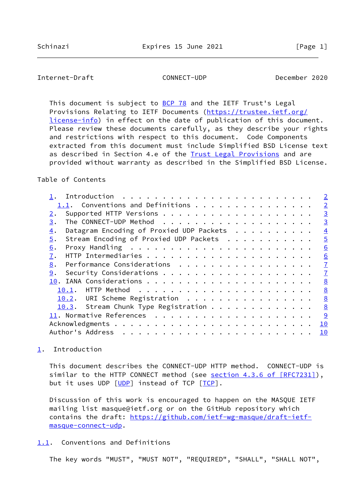# <span id="page-1-1"></span>Internet-Draft CONNECT-UDP December 2020

This document is subject to [BCP 78](https://datatracker.ietf.org/doc/pdf/bcp78) and the IETF Trust's Legal Provisions Relating to IETF Documents ([https://trustee.ietf.org/](https://trustee.ietf.org/license-info) [license-info](https://trustee.ietf.org/license-info)) in effect on the date of publication of this document. Please review these documents carefully, as they describe your rights and restrictions with respect to this document. Code Components extracted from this document must include Simplified BSD License text as described in Section 4.e of the [Trust Legal Provisions](https://trustee.ietf.org/license-info) and are provided without warranty as described in the Simplified BSD License.

## Table of Contents

|                                                                         | $\overline{2}$  |
|-------------------------------------------------------------------------|-----------------|
| 1.1. Conventions and Definitions                                        | $\overline{2}$  |
| 2.                                                                      | $\overline{3}$  |
| 3.                                                                      | $\overline{3}$  |
| Datagram Encoding of Proxied UDP Packets<br>$\overline{4}$ .            | $\overline{4}$  |
| Stream Encoding of Proxied UDP Packets<br>5.                            | $\overline{5}$  |
| Proxy Handling $\ldots \ldots \ldots \ldots \ldots \ldots \ldots$<br>6. | 6               |
| 7.                                                                      | $\underline{6}$ |
| Performance Considerations<br>8.                                        | $\overline{1}$  |
| 9.                                                                      | $\mathbf{I}$    |
|                                                                         | 8               |
|                                                                         | 8               |
| 10.2. URI Scheme Registration                                           | 8               |
| 10.3. Stream Chunk Type Registration                                    | 8               |
|                                                                         | 9               |
|                                                                         | 10              |
|                                                                         | 10              |
|                                                                         |                 |

### <span id="page-1-0"></span>[1](#page-1-0). Introduction

 This document describes the CONNECT-UDP HTTP method. CONNECT-UDP is similar to the HTTP CONNECT method (see section [4.3.6 of \[RFC7231\]](https://datatracker.ietf.org/doc/pdf/rfc7231#section-4.3.6)), but it uses UDP [\[UDP](#page-10-1)] instead of TCP [ICP].

 Discussion of this work is encouraged to happen on the MASQUE IETF mailing list masque@ietf.org or on the GitHub repository which contains the draft: [https://github.com/ietf-wg-masque/draft-ietf](https://github.com/ietf-wg-masque/draft-ietf-masque-connect-udp) [masque-connect-udp](https://github.com/ietf-wg-masque/draft-ietf-masque-connect-udp).

## <span id="page-1-2"></span>[1.1](#page-1-2). Conventions and Definitions

The key words "MUST", "MUST NOT", "REQUIRED", "SHALL", "SHALL NOT",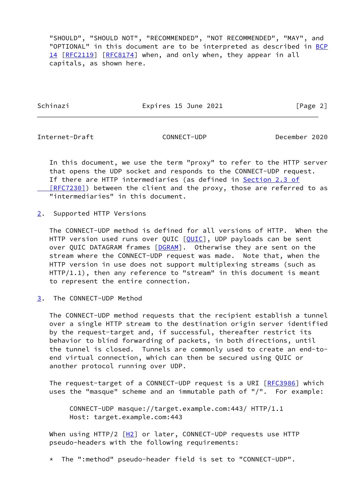"SHOULD", "SHOULD NOT", "RECOMMENDED", "NOT RECOMMENDED", "MAY", and "OPTIONAL" in this document are to be interpreted as described in [BCP](https://datatracker.ietf.org/doc/pdf/bcp14) [14](https://datatracker.ietf.org/doc/pdf/bcp14) [[RFC2119\]](https://datatracker.ietf.org/doc/pdf/rfc2119) [\[RFC8174](https://datatracker.ietf.org/doc/pdf/rfc8174)] when, and only when, they appear in all capitals, as shown here.

Schinazi **Expires 15 June 2021** [Page 2]

<span id="page-2-1"></span>Internet-Draft CONNECT-UDP December 2020

 In this document, we use the term "proxy" to refer to the HTTP server that opens the UDP socket and responds to the CONNECT-UDP request. If there are HTTP intermediaries (as defined in [Section](https://datatracker.ietf.org/doc/pdf/rfc7230#section-2.3) 2.3 of [RFC7230]) between the client and the proxy, those are referred to as "intermediaries" in this document.

<span id="page-2-0"></span>[2](#page-2-0). Supported HTTP Versions

 The CONNECT-UDP method is defined for all versions of HTTP. When the HTTP version used runs over QUIC [\[QUIC](#page-9-2)], UDP payloads can be sent over QUIC DATAGRAM frames [[DGRAM\]](#page-9-3). Otherwise they are sent on the stream where the CONNECT-UDP request was made. Note that, when the HTTP version in use does not support multiplexing streams (such as HTTP/1.1), then any reference to "stream" in this document is meant to represent the entire connection.

<span id="page-2-2"></span>[3](#page-2-2). The CONNECT-UDP Method

 The CONNECT-UDP method requests that the recipient establish a tunnel over a single HTTP stream to the destination origin server identified by the request-target and, if successful, thereafter restrict its behavior to blind forwarding of packets, in both directions, until the tunnel is closed. Tunnels are commonly used to create an end-to end virtual connection, which can then be secured using QUIC or another protocol running over UDP.

The request-target of a CONNECT-UDP request is a URI [\[RFC3986](https://datatracker.ietf.org/doc/pdf/rfc3986)] which uses the "masque" scheme and an immutable path of "/". For example:

 CONNECT-UDP masque://target.example.com:443/ HTTP/1.1 Host: target.example.com:443

When using HTTP/2  $[H2]$  $[H2]$  or later, CONNECT-UDP requests use HTTP pseudo-headers with the following requirements:

\* The ":method" pseudo-header field is set to "CONNECT-UDP".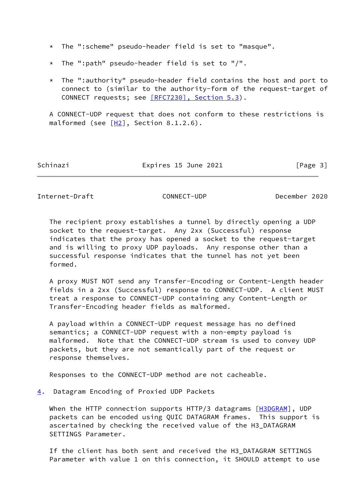\* The ":scheme" pseudo-header field is set to "masque".

- \* The ":path" pseudo-header field is set to "/".
- \* The ":authority" pseudo-header field contains the host and port to connect to (similar to the authority-form of the request-target of CONNECT requests; see [\[RFC7230\], Section](https://datatracker.ietf.org/doc/pdf/rfc7230#section-5.3) 5.3).

 A CONNECT-UDP request that does not conform to these restrictions is malformed (see  $[H2]$  $[H2]$ , Section 8.1.2.6).

Schinazi **Expires 15 June 2021** [Page 3]

<span id="page-3-1"></span>Internet-Draft CONNECT-UDP December 2020

 The recipient proxy establishes a tunnel by directly opening a UDP socket to the request-target. Any 2xx (Successful) response indicates that the proxy has opened a socket to the request-target and is willing to proxy UDP payloads. Any response other than a successful response indicates that the tunnel has not yet been formed.

 A proxy MUST NOT send any Transfer-Encoding or Content-Length header fields in a 2xx (Successful) response to CONNECT-UDP. A client MUST treat a response to CONNECT-UDP containing any Content-Length or Transfer-Encoding header fields as malformed.

 A payload within a CONNECT-UDP request message has no defined semantics; a CONNECT-UDP request with a non-empty payload is malformed. Note that the CONNECT-UDP stream is used to convey UDP packets, but they are not semantically part of the request or response themselves.

Responses to the CONNECT-UDP method are not cacheable.

<span id="page-3-0"></span>[4](#page-3-0). Datagram Encoding of Proxied UDP Packets

When the HTTP connection supports HTTP/3 datagrams [[H3DGRAM\]](#page-9-5), UDP packets can be encoded using QUIC DATAGRAM frames. This support is ascertained by checking the received value of the H3\_DATAGRAM SETTINGS Parameter.

 If the client has both sent and received the H3\_DATAGRAM SETTINGS Parameter with value 1 on this connection, it SHOULD attempt to use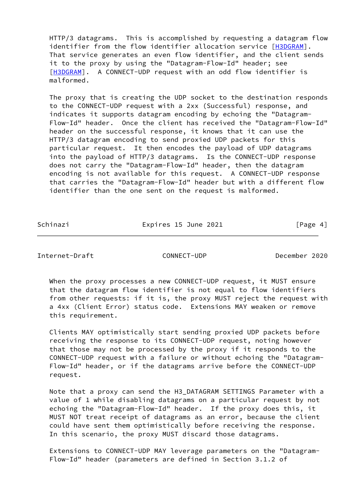HTTP/3 datagrams. This is accomplished by requesting a datagram flow identifier from the flow identifier allocation service [\[H3DGRAM](#page-9-5)]. That service generates an even flow identifier, and the client sends it to the proxy by using the "Datagram-Flow-Id" header; see [\[H3DGRAM](#page-9-5)]. A CONNECT-UDP request with an odd flow identifier is malformed.

 The proxy that is creating the UDP socket to the destination responds to the CONNECT-UDP request with a 2xx (Successful) response, and indicates it supports datagram encoding by echoing the "Datagram- Flow-Id" header. Once the client has received the "Datagram-Flow-Id" header on the successful response, it knows that it can use the HTTP/3 datagram encoding to send proxied UDP packets for this particular request. It then encodes the payload of UDP datagrams into the payload of HTTP/3 datagrams. Is the CONNECT-UDP response does not carry the "Datagram-Flow-Id" header, then the datagram encoding is not available for this request. A CONNECT-UDP response that carries the "Datagram-Flow-Id" header but with a different flow identifier than the one sent on the request is malformed.

Schinazi **Expires 15 June 2021** [Page 4]

<span id="page-4-0"></span>Internet-Draft CONNECT-UDP December 2020

 When the proxy processes a new CONNECT-UDP request, it MUST ensure that the datagram flow identifier is not equal to flow identifiers from other requests: if it is, the proxy MUST reject the request with a 4xx (Client Error) status code. Extensions MAY weaken or remove this requirement.

 Clients MAY optimistically start sending proxied UDP packets before receiving the response to its CONNECT-UDP request, noting however that those may not be processed by the proxy if it responds to the CONNECT-UDP request with a failure or without echoing the "Datagram- Flow-Id" header, or if the datagrams arrive before the CONNECT-UDP request.

 Note that a proxy can send the H3\_DATAGRAM SETTINGS Parameter with a value of 1 while disabling datagrams on a particular request by not echoing the "Datagram-Flow-Id" header. If the proxy does this, it MUST NOT treat receipt of datagrams as an error, because the client could have sent them optimistically before receiving the response. In this scenario, the proxy MUST discard those datagrams.

 Extensions to CONNECT-UDP MAY leverage parameters on the "Datagram- Flow-Id" header (parameters are defined in Section 3.1.2 of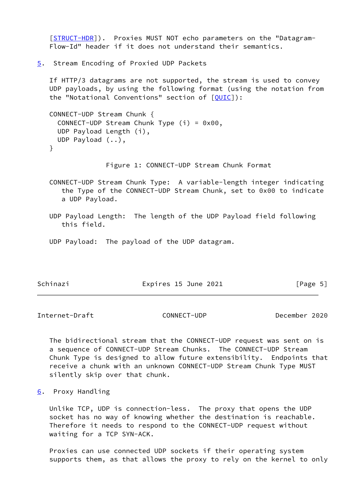[\[STRUCT-HDR\]](#page-10-3)). Proxies MUST NOT echo parameters on the "Datagram- Flow-Id" header if it does not understand their semantics.

<span id="page-5-0"></span>[5](#page-5-0). Stream Encoding of Proxied UDP Packets

 If HTTP/3 datagrams are not supported, the stream is used to convey UDP payloads, by using the following format (using the notation from the "Notational Conventions" section of  $[QUIC]$  $[QUIC]$ ):

```
 CONNECT-UDP Stream Chunk {
 CONNECT-UDP Stream Chunk Type (i) = 0x00,
  UDP Payload Length (i),
  UDP Payload (..),
}
```
Figure 1: CONNECT-UDP Stream Chunk Format

 CONNECT-UDP Stream Chunk Type: A variable-length integer indicating the Type of the CONNECT-UDP Stream Chunk, set to 0x00 to indicate a UDP Payload.

- UDP Payload Length: The length of the UDP Payload field following this field.
- UDP Payload: The payload of the UDP datagram.

| Schinazi<br>Expires 15 June 2021 | [Page 5] |
|----------------------------------|----------|
|----------------------------------|----------|

<span id="page-5-2"></span>Internet-Draft CONNECT-UDP December 2020

 The bidirectional stream that the CONNECT-UDP request was sent on is a sequence of CONNECT-UDP Stream Chunks. The CONNECT-UDP Stream Chunk Type is designed to allow future extensibility. Endpoints that receive a chunk with an unknown CONNECT-UDP Stream Chunk Type MUST silently skip over that chunk.

<span id="page-5-1"></span>[6](#page-5-1). Proxy Handling

 Unlike TCP, UDP is connection-less. The proxy that opens the UDP socket has no way of knowing whether the destination is reachable. Therefore it needs to respond to the CONNECT-UDP request without waiting for a TCP SYN-ACK.

 Proxies can use connected UDP sockets if their operating system supports them, as that allows the proxy to rely on the kernel to only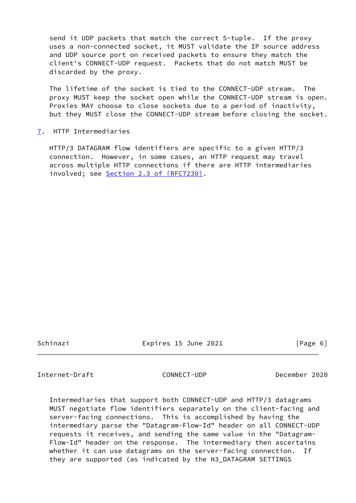send it UDP packets that match the correct 5-tuple. If the proxy uses a non-connected socket, it MUST validate the IP source address and UDP source port on received packets to ensure they match the client's CONNECT-UDP request. Packets that do not match MUST be discarded by the proxy.

 The lifetime of the socket is tied to the CONNECT-UDP stream. The proxy MUST keep the socket open while the CONNECT-UDP stream is open. Proxies MAY choose to close sockets due to a period of inactivity, but they MUST close the CONNECT-UDP stream before closing the socket.

<span id="page-6-0"></span>[7](#page-6-0). HTTP Intermediaries

 HTTP/3 DATAGRAM flow identifiers are specific to a given HTTP/3 connection. However, in some cases, an HTTP request may travel across multiple HTTP connections if there are HTTP intermediaries involved; see Section [2.3 of \[RFC7230\]](https://datatracker.ietf.org/doc/pdf/rfc7230#section-2.3).

Schinazi Expires 15 June 2021 [Page 6]

<span id="page-6-1"></span>Internet-Draft CONNECT-UDP December 2020

 Intermediaries that support both CONNECT-UDP and HTTP/3 datagrams MUST negotiate flow identifiers separately on the client-facing and server-facing connections. This is accomplished by having the intermediary parse the "Datagram-Flow-Id" header on all CONNECT-UDP requests it receives, and sending the same value in the "Datagram- Flow-Id" header on the response. The intermediary then ascertains whether it can use datagrams on the server-facing connection. If they are supported (as indicated by the H3\_DATAGRAM SETTINGS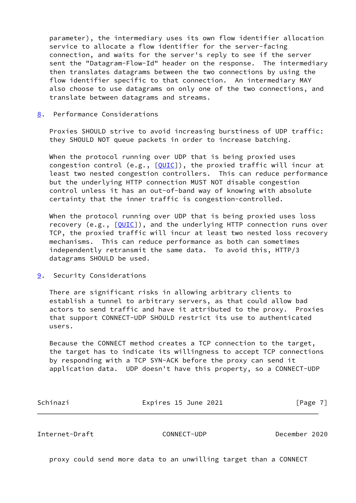parameter), the intermediary uses its own flow identifier allocation service to allocate a flow identifier for the server-facing connection, and waits for the server's reply to see if the server sent the "Datagram-Flow-Id" header on the response. The intermediary then translates datagrams between the two connections by using the flow identifier specific to that connection. An intermediary MAY also choose to use datagrams on only one of the two connections, and translate between datagrams and streams.

#### <span id="page-7-0"></span>[8](#page-7-0). Performance Considerations

 Proxies SHOULD strive to avoid increasing burstiness of UDP traffic: they SHOULD NOT queue packets in order to increase batching.

When the protocol running over UDP that is being proxied uses congestion control (e.g., [[QUIC\]](#page-9-2)), the proxied traffic will incur at least two nested congestion controllers. This can reduce performance but the underlying HTTP connection MUST NOT disable congestion control unless it has an out-of-band way of knowing with absolute certainty that the inner traffic is congestion-controlled.

When the protocol running over UDP that is being proxied uses loss recovery (e.g.,  $[QUIC]$  $[QUIC]$ ), and the underlying HTTP connection runs over TCP, the proxied traffic will incur at least two nested loss recovery mechanisms. This can reduce performance as both can sometimes independently retransmit the same data. To avoid this, HTTP/3 datagrams SHOULD be used.

<span id="page-7-1"></span>[9](#page-7-1). Security Considerations

 There are significant risks in allowing arbitrary clients to establish a tunnel to arbitrary servers, as that could allow bad actors to send traffic and have it attributed to the proxy. Proxies that support CONNECT-UDP SHOULD restrict its use to authenticated users.

 Because the CONNECT method creates a TCP connection to the target, the target has to indicate its willingness to accept TCP connections by responding with a TCP SYN-ACK before the proxy can send it application data. UDP doesn't have this property, so a CONNECT-UDP

| Schinazi | Expires 15 June 2021 | [Page 7] |
|----------|----------------------|----------|
|          |                      |          |

<span id="page-7-2"></span>Internet-Draft CONNECT-UDP December 2020

proxy could send more data to an unwilling target than a CONNECT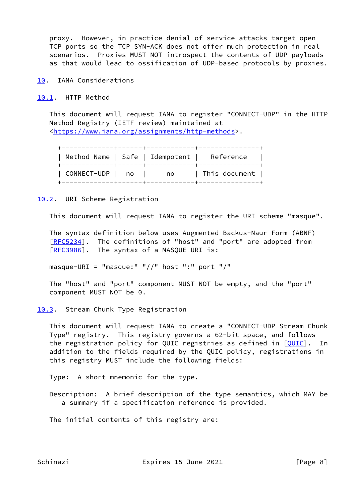proxy. However, in practice denial of service attacks target open TCP ports so the TCP SYN-ACK does not offer much protection in real scenarios. Proxies MUST NOT introspect the contents of UDP payloads as that would lead to ossification of UDP-based protocols by proxies.

<span id="page-8-0"></span>[10.](#page-8-0) IANA Considerations

<span id="page-8-1"></span>[10.1](#page-8-1). HTTP Method

 This document will request IANA to register "CONNECT-UDP" in the HTTP Method Registry (IETF review) maintained at [<https://www.iana.org/assignments/http-methods](https://www.iana.org/assignments/http-methods)>.

| Method Name   Safe   Idempotent |     | Reference     |
|---------------------------------|-----|---------------|
| CONNECT-UDP   no                | no. | This document |

<span id="page-8-2"></span>[10.2](#page-8-2). URI Scheme Registration

This document will request IANA to register the URI scheme "masque".

 The syntax definition below uses Augmented Backus-Naur Form (ABNF) [\[RFC5234](https://datatracker.ietf.org/doc/pdf/rfc5234)]. The definitions of "host" and "port" are adopted from [\[RFC3986](https://datatracker.ietf.org/doc/pdf/rfc3986)]. The syntax of a MASQUE URI is:

masque-URI = "masque:"  $\frac{1}{1}$  " host ":" port "/"

 The "host" and "port" component MUST NOT be empty, and the "port" component MUST NOT be 0.

<span id="page-8-3"></span>[10.3](#page-8-3). Stream Chunk Type Registration

 This document will request IANA to create a "CONNECT-UDP Stream Chunk Type" registry. This registry governs a 62-bit space, and follows the registration policy for QUIC registries as defined in [[QUIC\]](#page-9-2). In addition to the fields required by the QUIC policy, registrations in this registry MUST include the following fields:

Type: A short mnemonic for the type.

 Description: A brief description of the type semantics, which MAY be a summary if a specification reference is provided.

The initial contents of this registry are:

Schinazi **Expires 15 June 2021** [Page 8]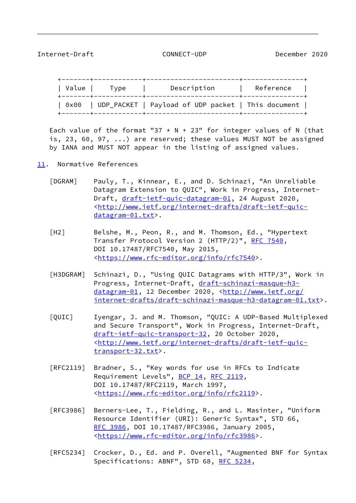<span id="page-9-1"></span>Internet-Draft CONNECT-UDP December 2020

 +-------+------------+-----------------------+---------------+ | Value | Type | Description | Reference +-------+------------+-----------------------+---------------+ | 0x00 | UDP\_PACKET | Payload of UDP packet | This document | +-------+------------+-----------------------+---------------+

Each value of the format "37  $*$  N + 23" for integer values of N (that is, 23, 60, 97, ...) are reserved; these values MUST NOT be assigned by IANA and MUST NOT appear in the listing of assigned values.

- <span id="page-9-5"></span><span id="page-9-4"></span><span id="page-9-3"></span><span id="page-9-2"></span><span id="page-9-0"></span>[11.](#page-9-0) Normative References
	- [DGRAM] Pauly, T., Kinnear, E., and D. Schinazi, "An Unreliable Datagram Extension to QUIC", Work in Progress, Internet- Draft, [draft-ietf-quic-datagram-01](https://datatracker.ietf.org/doc/pdf/draft-ietf-quic-datagram-01), 24 August 2020, <[http://www.ietf.org/internet-drafts/draft-ietf-quic](http://www.ietf.org/internet-drafts/draft-ietf-quic-datagram-01.txt) [datagram-01.txt](http://www.ietf.org/internet-drafts/draft-ietf-quic-datagram-01.txt)>.
	- [H2] Belshe, M., Peon, R., and M. Thomson, Ed., "Hypertext Transfer Protocol Version 2 (HTTP/2)", [RFC 7540](https://datatracker.ietf.org/doc/pdf/rfc7540), DOI 10.17487/RFC7540, May 2015, <[https://www.rfc-editor.org/info/rfc7540>](https://www.rfc-editor.org/info/rfc7540).
	- [H3DGRAM] Schinazi, D., "Using QUIC Datagrams with HTTP/3", Work in Progress, Internet-Draft, [draft-schinazi-masque-h3](https://datatracker.ietf.org/doc/pdf/draft-schinazi-masque-h3-datagram-01) [datagram-01](https://datatracker.ietf.org/doc/pdf/draft-schinazi-masque-h3-datagram-01), 12 December 2020, <[http://www.ietf.org/](http://www.ietf.org/internet-drafts/draft-schinazi-masque-h3-datagram-01.txt) [internet-drafts/draft-schinazi-masque-h3-datagram-01.txt>](http://www.ietf.org/internet-drafts/draft-schinazi-masque-h3-datagram-01.txt).
	- [QUIC] Iyengar, J. and M. Thomson, "QUIC: A UDP-Based Multiplexed and Secure Transport", Work in Progress, Internet-Draft, [draft-ietf-quic-transport-32,](https://datatracker.ietf.org/doc/pdf/draft-ietf-quic-transport-32) 20 October 2020, <[http://www.ietf.org/internet-drafts/draft-ietf-quic](http://www.ietf.org/internet-drafts/draft-ietf-quic-transport-32.txt) [transport-32.txt>](http://www.ietf.org/internet-drafts/draft-ietf-quic-transport-32.txt).
	- [RFC2119] Bradner, S., "Key words for use in RFCs to Indicate Requirement Levels", [BCP 14](https://datatracker.ietf.org/doc/pdf/bcp14), [RFC 2119](https://datatracker.ietf.org/doc/pdf/rfc2119), DOI 10.17487/RFC2119, March 1997, <[https://www.rfc-editor.org/info/rfc2119>](https://www.rfc-editor.org/info/rfc2119).
	- [RFC3986] Berners-Lee, T., Fielding, R., and L. Masinter, "Uniform Resource Identifier (URI): Generic Syntax", STD 66, [RFC 3986,](https://datatracker.ietf.org/doc/pdf/rfc3986) DOI 10.17487/RFC3986, January 2005, <[https://www.rfc-editor.org/info/rfc3986>](https://www.rfc-editor.org/info/rfc3986).
	- [RFC5234] Crocker, D., Ed. and P. Overell, "Augmented BNF for Syntax Specifications: ABNF", STD 68, [RFC 5234](https://datatracker.ietf.org/doc/pdf/rfc5234),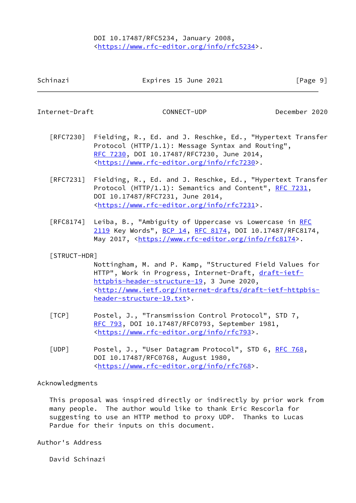## DOI 10.17487/RFC5234, January 2008, <[https://www.rfc-editor.org/info/rfc5234>](https://www.rfc-editor.org/info/rfc5234).

<span id="page-10-0"></span>Internet-Draft CONNECT-UDP December 2020

- [RFC7230] Fielding, R., Ed. and J. Reschke, Ed., "Hypertext Transfer Protocol (HTTP/1.1): Message Syntax and Routing", [RFC 7230,](https://datatracker.ietf.org/doc/pdf/rfc7230) DOI 10.17487/RFC7230, June 2014, <[https://www.rfc-editor.org/info/rfc7230>](https://www.rfc-editor.org/info/rfc7230).
- [RFC7231] Fielding, R., Ed. and J. Reschke, Ed., "Hypertext Transfer Protocol (HTTP/1.1): Semantics and Content", [RFC 7231](https://datatracker.ietf.org/doc/pdf/rfc7231), DOI 10.17487/RFC7231, June 2014, <[https://www.rfc-editor.org/info/rfc7231>](https://www.rfc-editor.org/info/rfc7231).
- [RFC8174] Leiba, B., "Ambiguity of Uppercase vs Lowercase in [RFC](https://datatracker.ietf.org/doc/pdf/rfc2119) [2119](https://datatracker.ietf.org/doc/pdf/rfc2119) Key Words", [BCP 14](https://datatracker.ietf.org/doc/pdf/bcp14), [RFC 8174,](https://datatracker.ietf.org/doc/pdf/rfc8174) DOI 10.17487/RFC8174, May 2017, [<https://www.rfc-editor.org/info/rfc8174](https://www.rfc-editor.org/info/rfc8174)>.

## <span id="page-10-3"></span>[STRUCT-HDR]

 Nottingham, M. and P. Kamp, "Structured Field Values for HTTP", Work in Progress, Internet-Draft, [draft-ietf](https://datatracker.ietf.org/doc/pdf/draft-ietf-httpbis-header-structure-19) [httpbis-header-structure-19](https://datatracker.ietf.org/doc/pdf/draft-ietf-httpbis-header-structure-19), 3 June 2020, <[http://www.ietf.org/internet-drafts/draft-ietf-httpbis](http://www.ietf.org/internet-drafts/draft-ietf-httpbis-header-structure-19.txt) [header-structure-19.txt](http://www.ietf.org/internet-drafts/draft-ietf-httpbis-header-structure-19.txt)>.

- <span id="page-10-2"></span> [TCP] Postel, J., "Transmission Control Protocol", STD 7, [RFC 793](https://datatracker.ietf.org/doc/pdf/rfc793), DOI 10.17487/RFC0793, September 1981, <<https://www.rfc-editor.org/info/rfc793>>.
- <span id="page-10-1"></span>[UDP] Postel, J., "User Datagram Protocol", STD 6, [RFC 768](https://datatracker.ietf.org/doc/pdf/rfc768), DOI 10.17487/RFC0768, August 1980, <<https://www.rfc-editor.org/info/rfc768>>.

## Acknowledgments

 This proposal was inspired directly or indirectly by prior work from many people. The author would like to thank Eric Rescorla for suggesting to use an HTTP method to proxy UDP. Thanks to Lucas Pardue for their inputs on this document.

Author's Address

David Schinazi